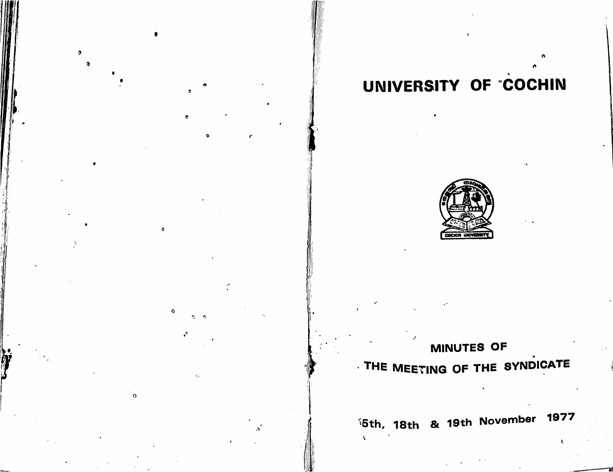# $\bullet$

# UNIVERSITY OF "COCHIN



# MINUTES OF THE MEETING OF THE SYNDICATE

**1977** *i*5th, 18th & 19th November 1977

 $\mathbf{C}$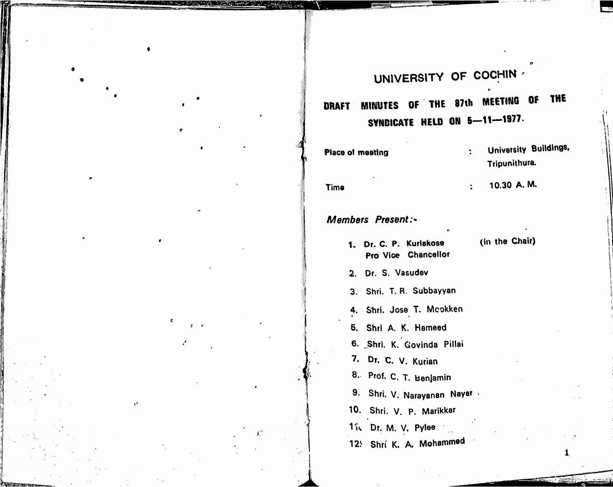## UNIVERSITY OF COCHIN

 $\ddot{\cdot}$ 

 $\ddot{\cdot}$ 

### THE MINUTES OF THE 87th MEETING OF **DRAFT** SYNDICATE HELD ON 5-11-1977.

| Place of meeting |   |  |
|------------------|---|--|
|                  | ٠ |  |
| <b>Time</b>      |   |  |

### **Members Present:-**

- 1. Dr. C. P. Kuriakose Pro Vice Chancellor
- (in the Chair)

University Buildings,

1.

Tripunithura.

10.30 A. M.

2. Dr. S. Vasudev

3. Shri. T. R. Subbayyan

4. Shri. Jose T. Mcokken

5. Shri A. K. Hameed

6. Shri. K. Govinda Pillai

7. Dr. C. V. Kurian

8. Prof. C. T. Benjamin

9. Shri. V. Narayanan Nayar

10. Shri. V. P. Marikkar

1 is Dr. M. V. Pylee

 $\overline{d}$ 

12: Shri K. A. Mohammed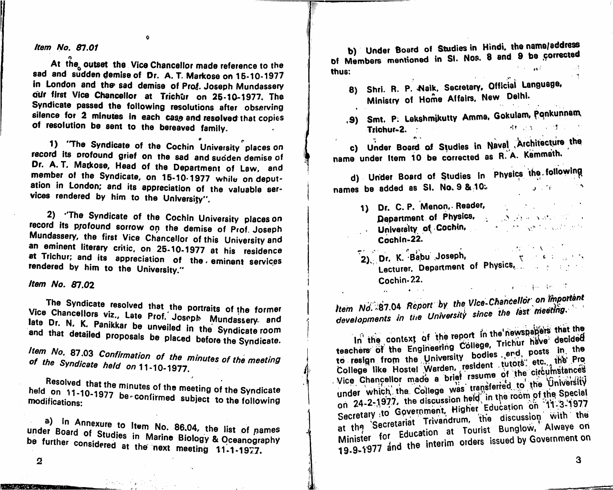Item No. 87.01

At the outset the Vice Chancellor made reference to the sad and sudden demise of Dr. A. T. Markose on 15-10-1977 in London and the sad demise of Prof. Joseph Mundassery our first Vice Chancellor at Trichur on 25-10-1977. The Syndicate passed the following resolutions after observing silence for 2 minutes in each case and resolved that copies of resolution be sent to the bereaved family.

 $\alpha$ 

1) 'The Syndicate of the Cochin University places on record its profound grief on the sad and sudden demise of Dr. A. T. Matkose, Head of the Department of Law, and member of the Syndicate, on 15-10-1977 while on deputation in London; and its appreciation of the valuable services rendered by him to the University".

2) "The Syndicate of the Cochin University places on record its profound sorrow on the demise of Prof. Joseph Mundassery, the first Vice Chancellor of this University and an eminent literary critic, on 25-10-1977 at his residence at Trichur; and its appreciation of the eminent services rendered by him to the University."

*Item No. 87.02* 

The Syndicate resolved that the portraits of the former Vice Chancellors viz., Late Prof. Joseph Mundassery and late Dr. N. K. Panikkar be unveiled in the Syndicate room and that detailed proposals be placed before the Syndicate.

Item No. 87.03 Confirmation of the minutes of the meeting of the Syndicate held on 11-10-1977.

Resolved that the minutes of the meeting of the Syndicate held on 11-10-1977 be confirmed subject to the following modifications:

a) In Annexure to Item No. 86.04, the list of pames under Board of Studies in Marine Biology & Oceanography be further considered at the next meeting 11-1-1977.

b) Under Board of Studies in Hindi, the name/address of Members mentioned in SI. Nos. 8 and 9 be corrected  $3.4 \times 10^{4}$ thus:

- 8) Shri. R. P. Naik, Secretary, Official Language, Ministry of Home Affairs, New Delhi.
- .9) Smt. P. Lakshmikutty Amme, Gokulam, Ponkunnam 神经的 一种生长 Trichur-2.

c) Under Board of Studies in Naval Architecture the name under Item 10 be corrected as R. A. Kammath.

d) Under Board of Studies in Physics the following names be added as SI. No. 9 & 10.  $\mathbf{C}^{\mathcal{A}}$  and  $\mathbf{C}^{\mathcal{A}}$  and  $\mathbf{C}^{\mathcal{A}}$  and  $\mathbf{C}^{\mathcal{A}}$ 

- 1) Dr. C. P. Menon, Reader, and the contract of the contract of the contract of the contract of the contract of **Department of Physics.** A construction of the set of the set of the set of the set of the set of the set of the set of the set of the set of the set of the set of the set of the set of the set of the set of the set of the **University of Cochin.** Cochin-22.  $\label{eq:2.1} \mathcal{O}(\log n) = \frac{2\log n}{\log n} \sum_{i=1}^n \mathcal{O}(\log n)^{1/2} \sum_{i=1}^n \mathcal{O}(\log n)^{1/2}$
- Cochin-22.  $\label{eq:2.1} \mathcal{L}_{\mathcal{A}}(\mathcal{A})=\mathcal{A}(\mathcal{A})=\mathcal{A}(\mathcal{A})=\mathcal{A}(\mathcal{A})=\mathcal{A}(\mathcal{A})$

Item No. 87.04 Report by the Vice-Chancellor on Important developments in the University since the last meeting.

In the context of the report in the newspapers that the teachers of the Engineering College, Trichur have decided to resign from the University bodies end, posts in the College like Hostel Warden, resident tutors etc., the Pro Vice Chancellor made a brief resume of the circumstances under which the College was transferred to the University on 24-2-1977, the discussion held in the room of the Special Secretary to Government, Higher Education on 11-3-1977 at the Secretariat Trivandrum, the discussion with the Minister for Education at Tourist Bunglow, Alwaye on 19.9-1977 and the interim orders issued by Government on

しごとり ばい かいぼう だまし きょうし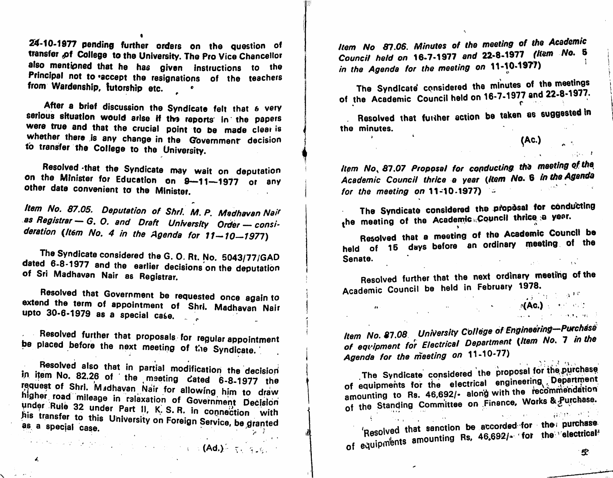24-10-1977 pending further orders on the question of transfer of College to the University. The Pro Vice Chancellor also mentioned that he has given instructions to the Principal not to accept the resignations of the teachers from Wardenship, futorship etc.

After a brief discussion the Syndicate felt that & very serious situation would arise if the reports in the papers  $\begin{bmatrix} 1 & 1 & 1 \end{bmatrix}$  assolved were true and that the crucial point to be made clear is the minutes. were true and that the crucial point to be made clear is  $\begin{pmatrix} 1 & 1 \\ 1 & 1 \end{pmatrix}$  the minutes whether there is any share is the minutes. whether there is any change in the Government decision to transfer the College to the University.

Resolved -that the Syndicate may wait on deputation on the Minister for Education on 9-11-1977 or any other date convenient to the Minister.

Item No. 87.05. Deputation of Shrl. M. P. Madhavan Nair as Registrar — G. O. and Draft University Order — consideration (Item No. 4 in the Agenda for  $11-10-1977$ )

The Syndicate considered the G. 0. Rt. No. 5043/77/GAD dated 6-8-1977 and the earlier decisions on the deputation of Sri Madhavan Nair as Registrar.

Government be requested once again to appointment of Shrl. Madhavan Nair upto 30-6-1979 as a special case.

 $\sim 10^7$ resolved further that proposals for regular appointment pe placed before the next meeting of the Syndicate.

Resolved also that in partial modification the decision<br>in item No. 82.26 of the meeting cated 6-8-1977 the<br>request of Shri. Madhavan Nair for allowing him to draw in item No. 82.26 of the meeting dated 6-8-1977 the higher road mileage in ralaxation of Government Decision under Rule 32 under Part II, K. S. R. in connection with his transfer to this University on Foreign Service, be granted as a special case.

Item No 87.06. Minutes of the meeting of the Academic Council held on 16-7-1977 and 22-8-1977 (Kem No. 6 in the Agenda for the meeting on  $11$ -10-1977)  $\qquad \qquad$ 

Syndicate considered the minutes of '22.8-1977. 16-7-1977 and 22-8-1977. of the Academic Council held on 10-7-1377 and  $\frac{1}{2}$ The Syndicate considered the minutes of the meetings

. Resolved that further action be taken as suggested in

^Ac.)

 $1.7.1 - 7$ 

Item No, 87.07 Proposal for conducting the meeting of the Academic Council thrice a year (Item No. 6 in the Agenda for the meeting on 11-10-1977) **Shape 12** 

The Syndicate considered the proposal for conducting the meeting of the Academic Copincil three to your

Resolved that a meeting of the Academic Council be held of 15 days before an ordinary meeting of the Senate.

Resolved further that the next ordinary meetihg of the Academic Council be held in February 1978.  $\frac{1}{2}$  J  $\frac{1}{2}$  (1)  $\frac{1}{2}$  (3)  $\frac{1}{2}$ 

 $\mathcal{A}_{\mathcal{A}}$  and  $\mathcal{B}_{\mathcal{A}}$ 

 $^{\prime \prime}$ 

**AC.)** (1991)

Item No. 87.08 University Correge of Engineering—Purchase of the of equipment for Electrical Department (Item No. 7 in the Agenda for the meeting on 11-10-77)

Syndicate considered the of equipments for the electrical engineering amounting to Rs. 46,692/- along with the recommendation Finance, Works of *digmase.* The Syndicate considered the proposal for the purchase amounting to  $Rs$ . 40,692/of the Standing Committee on

as a University of the excorded for the purchase.<br>
The equipments amounting Rs, 46,692/- for the electrical  $5<sup>o</sup>$ 

**Additionally** Depends on the second control of **(Ad.)** Fine 9.19.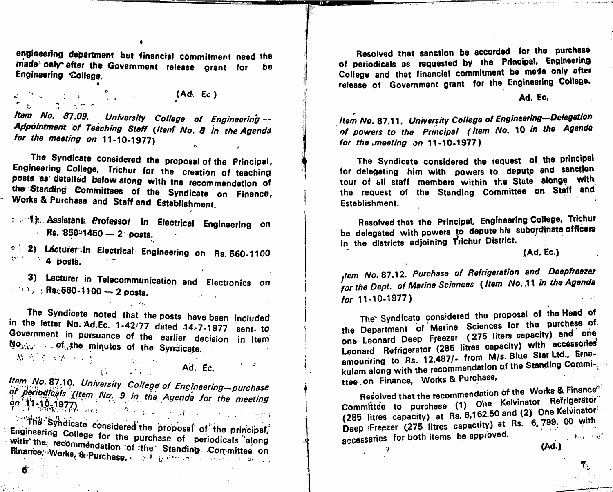engineering department but financial commitment need the made' only' after the Government release grant for Engineering College. be

 $\mathcal{L} = \{ \mathcal{L}_1, \mathcal{L}_2, \ldots, \mathcal{L}_N \}$  $(A\Phi, Ec.)$  Ad. Ec. **Carl Strath** 

Item No. 87.09. University College of Engineering --Appointment of Teaching Staff (Itenf No. 8 in the Agenda for the meeting on 11-10-1977)

The Syndicate considered the proposal of the Principal,<br>Engineering College, Trichur for the creation of teaching posts as detailed below along with the recommendation of the Standing Committees of the Cuadians and recommendation of we committees of the Syndicate on Finance, Works & Purchase and Staff and Establishment.

**1. 1. Assiererik Froressor in Electrical Engineering on**  $ms. 850-1460 - 2$  posts.

2) Lectufer>in Electrical Engineering on Rs. 660-1100  $4$  bosts. The  $4$ 

**3) Lecturer In Telecommunication and Electronics on**  $\triangleright$  : Ra $_{6}$ 560-1100 — 2 posts.

in the letter  $\text{No.}$  Ad Fr. 1.42.177 directed as  $\pi$  comp.  $\frac{m}{\pi}$  . Here  $\frac{m}{\pi}$  and  $\frac{m}{\pi}$  and  $\frac{m}{\pi}$  and  $\frac{m}{\pi}$  and  $\frac{m}{\pi}$  and  $\frac{m}{\pi}$  and  $\frac{m}{\pi}$  and  $\frac{m}{\pi}$  and  $\frac{m}{\pi}$  and  $\frac{m}{\pi}$  and  $\frac{m}{\pi}$  and  $\frac{m}{\pi}$  and  $\frac{m}{\pi}$  and  $\frac{m}{\pi$ Government in pursuance of the earlier decision in Item  $N_{\rm{max}} \approx 10^{4/4}$  of  $\mu_{\rm{max}}$  . The minutes of the Syndicate.

Ad. Ec.

/

.i

of periodicals (Item No. 9 in the Agenda for the meeting and a resolved that the recommendation of the Works & Finance<br>Pn 11-10-1977)  $\frac{9n^3}{11}$  -10-1977),  $\frac{1}{\cos t}$  ,  $\frac{1}{2}$  ,  $\frac{1}{2}$  ,  $\frac{1}{2}$  ,  $\frac{1}{2}$  ,  $\frac{1}{2}$  ,  $\frac{1}{2}$  ,  $\frac{1}{2}$  ,  $\frac{1}{2}$ 

 $A = -1.7$ 

interestive in considered the proposal of the principal, Engineering College for the purchase of periodicals along with the recommendation of the Standing Committee on Rinance, Works, & Purchase, and enterprise on the committee on the committee on the committee on the committee on  $\ell$ .

Resolved that sanction be accorded for the purchase of periodicals as requested by the Principal, Engineering College and that financial commitment be made only after release of Government grant for the Engineering College.

Item No. 87.11. University College of Engineering-Delegetion of powers to the Principal (Item No, 10 in the Agenda for the meeting on  $11-10-1977$ )

The Syndicate considered the request of the principal for delegating him with powers to depute and sanction tour of all staff members within the State alonge with the request of the Standing Committee on Staff and Establishment.

Resolved that the Principal, Engineering College, Trichur be delegated with powers to depute his subordinate officers in the districts adloining Trichur District.

(Ad. Ec.)

 $7<sub>1</sub>$ 

 $t$ , tem No. 87.12. Purchase of Refrigeration and  $\tau$  in the Agenda for the Dept, of Marine Sciences  $\sqrt{1+\frac{1}{n}}$ for 11-10-1977)

The Syndicate considered the proposal of the Head of the Department of Marine Sciences for the purchase of the Department of warme Sciences for the unit one<br>one Leonard Deep Freezer (275 liters capacity) and one one Leonard Deep Freezer (270 note copenational contracts Leonard Refrigerator (285 litres capacity) with accessories Leonard Refrigerator (200 nues capacity) time<br>amounting to Rs. 12,487/- from M/s. Blue Star Ltd., Ernakulam along with the recommendation of the Standing Commi-,

ttee on Finance, Works & Purchase.<br>Resolved that the recommendation of the Works & Finance<sup>e</sup> Committee to purchase (1) One Kelvinator Refrigerator (285 litres capacity) at Rs.  $6,162.50$  and (2) One Kelvinator Deep Freezer (275 litres capactity) at Rs. 6,799. 00 with<br>accessaries for both items be approved. accessaries for both items be approved. (Ad

 $\mathcal{V}$  . The contract of  $\mathcal{V}$  . The contract of  $\mathcal{V}$ 

 $\bullet$ .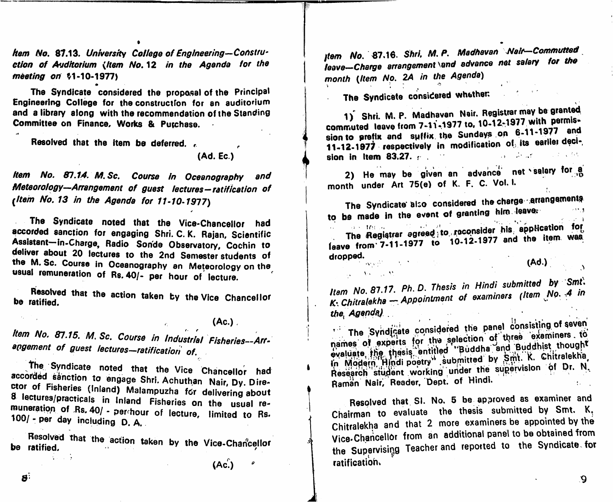**Rem No. 81.13. University College of Engineering-Constru**ction of Auditorium (Item No. 12 in the Agenda for the meeting on \$1-10-1977)

The Syndicate considered the proposal of the Principal Engineering College for the construction for an auditorium and a library along with the recommendation of the Standing Committee on Finance, Works & Purchase.

Resolved that the item be deferred.

(Ad. Ec.)

Item No. 87.14. M.Sc. Course in Oceanography and Meteorology-Arrangement of guest lectures-ratification of (Item No. 13 in the Agenda for 11-10-1977)

The Syndicate noted that the Vice-Chancellor had accorded sanction for engaging Shri. C.K. Rajan, Scientific Assistant-in-Charge, Radio Sonde Observatory, Cochin to deliver about 20 lectures to the 2nd Semester students of the M. Sc. Course in Oceanography an Meteorology on the usual remuneration of Rs. 40/- per hour of lecture.

Resolved that the action taken by the Vice Chancellor be ratified.

 $(Ac.)$ .

Item No. 87.15. M. Sc. Course in Industrial Fisheries--Arrangement of guest lectures-ratification of.

The Syndicate noted that the Vice Chancellor had accorded senction to engage Shri. Achuthan Nair, Dy. Director of Fisheries (Inland) Malampuzha for delivering about 8 lectures/practicals in Inland Fisheries on the usual remuneration of Rs. 40/ - per hour of lecture, limited to Rs. 100/ - per day including D.A.

Resolved that the action taken by the Vice-Chancellor be ratified. ang mana

 $(Ac.)$ 

tem No. 87.16. Shri, M. P. Medhavan Nair-Commutted leave-Charge arrangement \and advance net salary for the month (Item No. 2A in the Agenda)

The Syndicate considered whether:

1) Shri. M. P. Madhavan Nair. Registrar may be granted commuted leave from 7-11-1977 to, 10-12-1977 with permission to prefix and suffix the Sundays on 6-11-1977 and 11-12-1977 respectively in modification of its earlier deciand the same of the state sion in Item 83.27.  $\epsilon$  .

2) He may be given an advance net salary for a month under Art 75(e) of K. F. C. Vol. I.

The Syndicate also considered the charge arrangements to be made in the event of granting him leave.

The Registrar agreed to reconsider his application for leave from 7-11-1977 to 10-12-1977 and the item was dropped.

 $\mathcal{F}$  and  $\mathcal{F}$  .

 $\mathcal{A}_\text{c} = \mathcal{A}_\text{c}$  ,  $\mathcal{A}_\text{c}$ 

â

 $(Ad.)$ 

Item No. 87.17. Ph. D. Thesis in Hindi submitted by Smt. K. Chitralekha - Appointment of examiners (Item No. 4 in the Agenda)

The Syndicate considered the panel consisting of seven names of experts for the selection of three examiners to evaluate the thesis entitled "Buddha and Buddhist thought in Modern Hindi poetry" submitted by Smt. K. Chitralekha, Research student working under the supervision of Dr. N. Raman Nair, Reader, Dept. of Hindi.

Resolved that SI. No. 5 be approved as examiner and Chairman to evaluate the thesis submitted by Smt. K. Chitralekha and that 2 more examiners be appointed by the Vice-Chancellor from an additional panel to be obtained from the Supervising Teacher and reported to the Syndicate for ratification.

 $\mathbf{B}^1$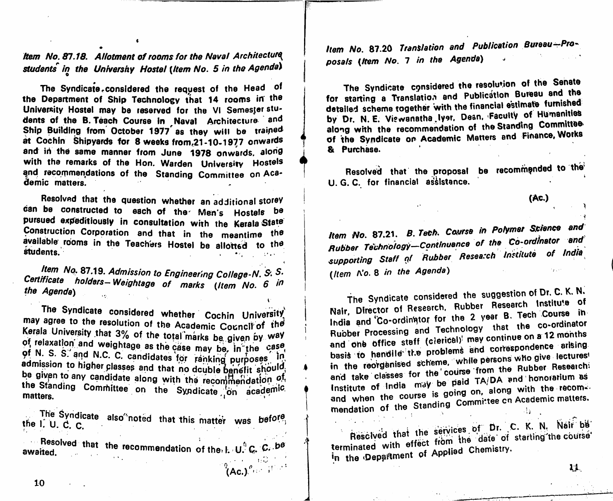Item No. 87.18. Allotment of rooms for the Neval Architecture students in the Univershy Hostel (Item No. 5 in the Agenda)

The Syndicate.considered the request of the Head of the Department of Ship Technology that 14 rooms in the University Hostel may be reserved for the VI Semester stu-<br>dents of the B. Teach Course in Naval Architecture and dents of the B. Teach Course in **Itaval Alchitecture** and Ship Building from October 1977 as they will be trained at Cochin Shipyards for 8 weeks from,21-10-1977 onwards and in the same manner from June 1978 onwards, along with the remarks of the Hon. Warden University Hostels and recommendations of the Standing Committee on Academic matters.

 $\blacklozenge$ 

K

(

Resolved that the question whether an additional storey can be constructed to each of the Men's Hostels be pursued expeditiously in consultation with the Kerala State Construction Corporation and that in the meantime the available rooms in the Teachers Hostel be allotted to the students. . ● i ..

Item No. 87.19. Admission to Engineering College-N. S. S. Certificate holders-Weightage of marks (Item No. 6 in<br>the Agenda) the Agenda)

The Syndicate considered whether Cochin University may agree to the resolution of the Academic Council of the<br>Kerala University that 3% of the total marks be given by way<br>of relaxation and weightage as the case may be, in the case Kerala University that 3% of the total marks be given by way of N. S. S. and N.C. C. candidates for ranking purposes in  $\mathbf{a}$ dmission to higher closes and discussed ranking purposes  $\frac{1}{2}$  admission to higher classes and that no dcuble benefit should  $\frac{1}{2}$ the Standing Committee on the Syndicate on academic,

Ine Syndicate also<sup>o</sup>noted that this matter was the I. U. C.  $\mathsf{C}$ .

nesolved that the recommendation of the. L. U. C. C. <sup>be</sup> awaited.  $\sqrt[9]{\text{Ac.}}$ )  $\sqrt[15]{\text{A}}$ 

Item No. 87.20 Translation and Publication Bureau-Proposals (Item No. 7 in the Agenda)

The Syndicate considered the resolution of the Senate<br>for starting a Translation and Publication Bureau and the for starting a Translation and detailed scheme together with the financial by Dr. N. E. Viewanatha lyer. Dean. Faculty of Humanities along with the recommendation of the Standing Committee of the Syndicate on Academic Matters and Finance, Works 8i Purchase.

Resolved that the proposal be recommended to the U. G. C. for financial assistance.

(Ac.)

item No. 87.21. B. Tech. Course in Polymer Science and Rubber Technology-Continuance of the Co-ordinator and supporting Staff gf Rubber Research Institute of India (Item No. 8 in the Agenda)  $\ell$  's  $^{\circ}$ 

The Syndicate considered the suggestion of Dr. C. K. N. Nair, Director of Research, Rubber Research Institute of India and Co-ordinator for the 2 year B. Tech Course in Rubber Processing and Technology that the co-ordinator Rubber Processing and Technology . .,2 months .nr on\* »..ic ...« 3 basis to handlle the problems and correspondence arising<br>in the reorganised scheme, while persons who give lectures! and take classes for the course from the Rubber Researchi and take classes for the  $e^{-i\omega}$  TA/DA and honorarium as and when the standing Committee on Academic matters. Institute of and when the course is going on, along with the recom-

Rescived that the services of Dr. C. K. N. Nair be terminated with effect from the date of starting the course terminated with effect non- the chemistry. In the Department of Applies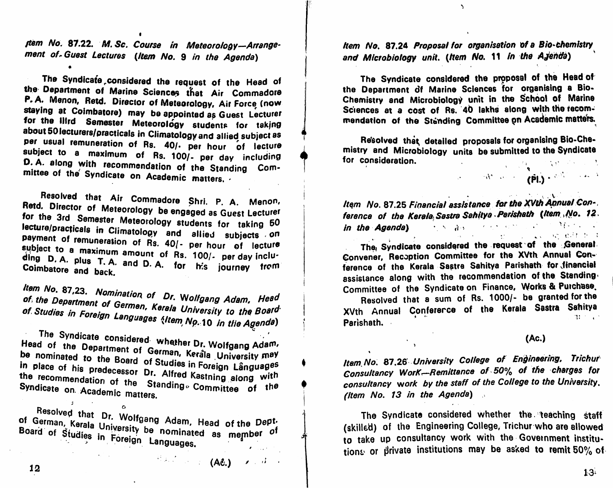tem No. 87.22. M. Sc. Course in Meteorology-Arrangement of Guest Lectures (Item No. 9 in the Agenda)

The Syndicate considered the request of the Head of the Department of Marine Sciences that Air Commadore P. A. Menon, Retd. Director of Meteorology, Air Force (now staying at Coimbatore) may be appointed as Guest Lecturer for the Illrd Semester Meteorology students for taking about 50 lecturers/practicals in Climatology and allied subject as per usual remuneration of Rs. 40/. per hour of lecture subject to a maximum of Rs. 100/- per day including D.A. along with recommendation of the Standing Committee of the Syndicate on Academic matters.

Resolved that Air Commadore Shri. P. A. Menon, Retd. Director of Meteorology be engaged as Guest Lecturer for the 3rd Semester Meteorology students for taking 50 lecture/practicals in Climatology and allied subjects on payment of remuneration of Rs. 40/- per hour of lecture subject to a maximum amount of Rs. 100/- per day including D.A. plus T.A. and D.A. for his journey from Coimbatore and back.

Item No. 87,23. Nomination of Dr. Wolfgang Adam, Head of the Department of Germen, Kerala University to the Board of Studies in Foreign Languages (Item No. 10 in the Agenda)

The Syndicate considered whether Dr. Wolfgang Adam, Head of the Department of German, Kerala University may be nominated to the Board of Studies in Foreign Languages in place of his predecessor Dr. Alfred Kastning along with the recommendation of the Standing Committee of the Syndicate on Academic matters.

Resolved that Dr. Wolfgang Adam, Head of the Dept. of German, Kerala University be nominated as member of Board of Studies in Foreign Languages.

 $\begin{array}{ccccc} \mathbb{H}(\mathbb{R},\mathbb{R}) & \mathbb{R} & \mathbb{R} & \mathbb{R} & \mathbb{R} & \mathbb{R} & \mathbb{R} & \mathbb{R} & \mathbb{R} & \mathbb{R} & \mathbb{R} & \mathbb{R} & \mathbb{R} & \mathbb{R} & \mathbb{R} & \mathbb{R} & \mathbb{R} & \mathbb{R} & \mathbb{R} & \mathbb{R} & \mathbb{R} & \mathbb{R} & \mathbb{R} & \mathbb{R} & \mathbb{R} & \mathbb{R} & \mathbb{R} & \mathbb{R} & \mathbb{$ 

Item No. 87.24 Proposal for organisation of a Bio-chemistry and Microbiology unit. (Item No. 11 in the Ajenda)

 $\mathcal{L}$ 

The Syndicate considered the proposal of the Head of the Department of Marine Sciences for organising a Bio-Chemistry and Microbiology unit in the School of Marine Sciences at a cost of Rs. 40 lakhs along with the recommendation of the Standing Committee on Academic matters.

Resolved that detailed proposals for organising Bio-Chemistry and Microbiology units be submitted to the Syndicate for consideration. 

Item No. 87.25 Financial assistance for the XVth Annual Conference of the Kerala Sastra Sahitya Parishath (Item No. 12. in the Agenda) and the same state of the state of the state of the state of the state of the state of the state of the state of the state of the state of the state of the state of the state of the state of the state of the s la ser en en la porta de la de la de la destaca de la destaca de la destaca de la destaca de la de

The Syndicate considered the request of the General Convener, Recoption Committee for the XVth Annual Conference of the Kerala Sastre Sahitya Parishath for financial assistance along with the recommendation of the Standing Committee of the Syndicate on Finance, Works & Purchase.

Resolved that a sum of Rs. 1000/- be granted for the XVth Annual Conference of the Kerala Sastra Sahitya  $31 - 1$ Parìshath.

 $(Ac.)$ 

Item No. 87.26 University College of Engineering, Trichur Consultancy WorK--Remittance of 50% of the charges for consultancy work by the staff of the College to the University. (Item No. 13 in the Agenda)

The Syndicate considered whether the teaching staff (skilled) of the Engineering College, Trichur who are allowed to take up consultancy work with the Government institutions or private institutions may be asked to remit 50% of